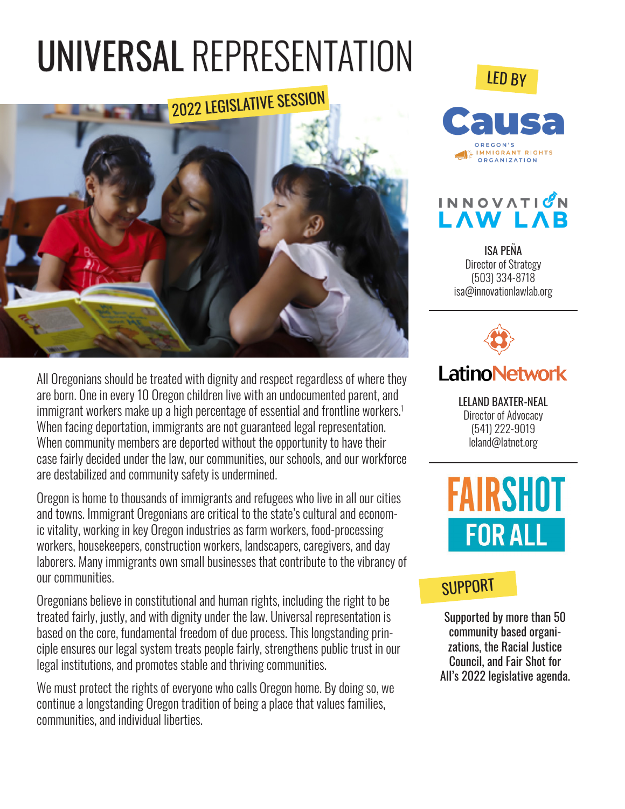# UNIVERSAL REPRESENTATION



All Oregonians should be treated with dignity and respect regardless of where they are born. One in every 10 Oregon children live with an undocumented parent, and immigrant workers make up a high percentage of essential and frontline workers.<sup>1</sup> When facing deportation, immigrants are not guaranteed legal representation. When community members are deported without the opportunity to have their case fairly decided under the law, our communities, our schools, and our workforce are destabilized and community safety is undermined.

Oregon is home to thousands of immigrants and refugees who live in all our cities and towns. Immigrant Oregonians are critical to the state's cultural and economic vitality, working in key Oregon industries as farm workers, food-processing workers, housekeepers, construction workers, landscapers, caregivers, and day laborers. Many immigrants own small businesses that contribute to the vibrancy of our communities.

Oregonians believe in constitutional and human rights, including the right to be treated fairly, justly, and with dignity under the law. Universal representation is based on the core, fundamental freedom of due process. This longstanding principle ensures our legal system treats people fairly, strengthens public trust in our legal institutions, and promotes stable and thriving communities.

We must protect the rights of everyone who calls Oregon home. By doing so, we continue a longstanding Oregon tradition of being a place that values families, communities, and individual liberties.

### LED BY





ISA PEÑA Director of Strategy (503) 334-8718 isa@innovationlawlab.org



LELAND BAXTER-NEAL Director of Advocacy (541) 222-9019 leland@latnet.org



#### **SUPPORT**

Supported by more than 50 community based organizations, the Racial Justice Council, and Fair Shot for All's 2022 legislative agenda.